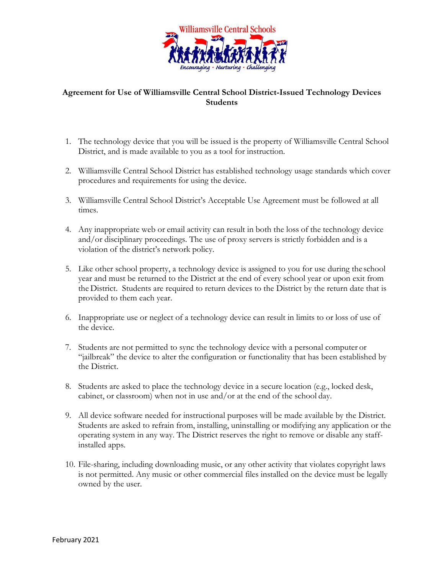

## **Agreement for Use of Williamsville Central School District-Issued Technology Devices Students**

- 1. The technology device that you will be issued is the property of Williamsville Central School District, and is made available to you as a tool for instruction.
- 2. Williamsville Central School District has established technology usage standards which cover procedures and requirements for using the device.
- 3. Williamsville Central School District's Acceptable Use Agreement must be followed at all times.
- 4. Any inappropriate web or email activity can result in both the loss of the technology device and/or disciplinary proceedings. The use of proxy servers is strictly forbidden and is a violation of the district's network policy.
- 5. Like other school property, a technology device is assigned to you for use during the school year and must be returned to the District at the end of every school year or upon exit from the District. Students are required to return devices to the District by the return date that is provided to them each year.
- 6. Inappropriate use or neglect of a technology device can result in limits to or loss of use of the device.
- 7. Students are not permitted to sync the technology device with a personal computer or "jailbreak" the device to alter the configuration or functionality that has been established by the District.
- 8. Students are asked to place the technology device in a secure location (e.g., locked desk, cabinet, or classroom) when not in use and/or at the end of the school day.
- 9. All device software needed for instructional purposes will be made available by the District. Students are asked to refrain from, installing, uninstalling or modifying any application or the operating system in any way. The District reserves the right to remove or disable any staffinstalled apps.
- 10. File-sharing, including downloading music, or any other activity that violates copyright laws is not permitted. Any music or other commercial files installed on the device must be legally owned by the user.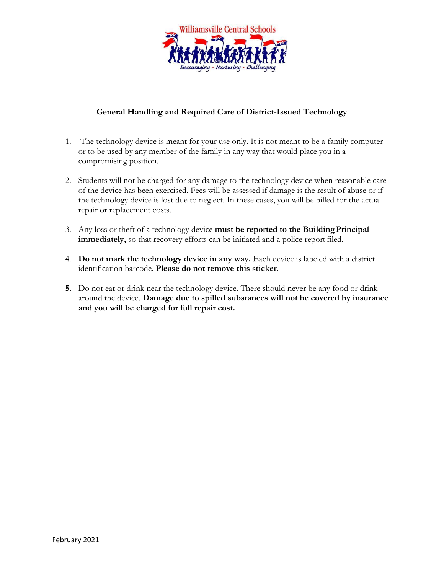

## **General Handling and Required Care of District-Issued Technology**

- 1. The technology device is meant for your use only. It is not meant to be a family computer or to be used by any member of the family in any way that would place you in a compromising position.
- 2. Students will not be charged for any damage to the technology device when reasonable care of the device has been exercised. Fees will be assessed if damage is the result of abuse or if the technology device is lost due to neglect. In these cases, you will be billed for the actual repair or replacement costs.
- 3. Any loss or theft of a technology device **must be reported to the BuildingPrincipal immediately,** so that recovery efforts can be initiated and a police report filed.
- 4. **Do not mark the technology device in any way.** Each device is labeled with a district identification barcode. **Please do not remove this sticker**.
- **5.** Do not eat or drink near the technology device. There should never be any food or drink around the device. **Damage due to spilled substances will not be covered by insurance and you will be charged for full repair cost.**